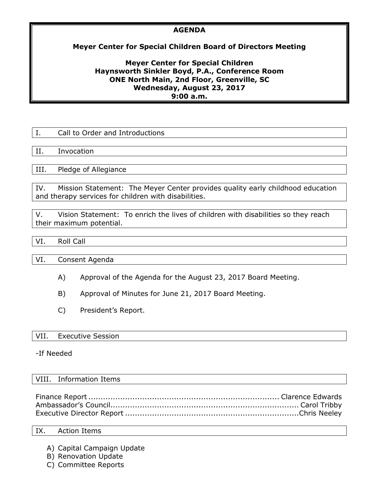## **AGENDA**

# **Meyer Center for Special Children Board of Directors Meeting**

## **Meyer Center for Special Children Haynsworth Sinkler Boyd, P.A., Conference Room ONE North Main, 2nd Floor, Greenville, SC Wednesday, August 23, 2017 9:00 a.m.**

| Ι.          | Call to Order and Introductions                                                                                                                  |
|-------------|--------------------------------------------------------------------------------------------------------------------------------------------------|
|             |                                                                                                                                                  |
| H.          | Invocation                                                                                                                                       |
|             |                                                                                                                                                  |
| III.        | Pledge of Allegiance                                                                                                                             |
|             |                                                                                                                                                  |
| $T_{\rm A}$ | $M_{\rm tot}$ , $\alpha$ is the contract $\pi$ by $M_{\rm tot}$ , $\alpha$ , and $\alpha$ , and the contribution of the field of the contract of |

IV. Mission Statement: The Meyer Center provides quality early childhood education and therapy services for children with disabilities.

V. Vision Statement: To enrich the lives of children with disabilities so they reach their maximum potential.

## VI. Roll Call

VI. Consent Agenda

- A) Approval of the Agenda for the August 23, 2017 Board Meeting.
- B) Approval of Minutes for June 21, 2017 Board Meeting.
- C) President's Report.

### VII. Executive Session

-If Needed

## VIII. Information Items

### IX. Action Items

- A) Capital Campaign Update
- B) Renovation Update
- C) Committee Reports